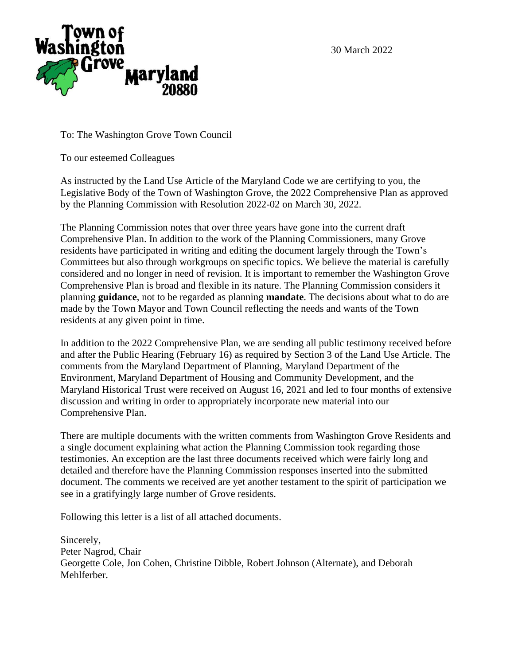30 March 2022



To: The Washington Grove Town Council

To our esteemed Colleagues

As instructed by the Land Use Article of the Maryland Code we are certifying to you, the Legislative Body of the Town of Washington Grove, the 2022 Comprehensive Plan as approved by the Planning Commission with Resolution 2022-02 on March 30, 2022.

The Planning Commission notes that over three years have gone into the current draft Comprehensive Plan. In addition to the work of the Planning Commissioners, many Grove residents have participated in writing and editing the document largely through the Town's Committees but also through workgroups on specific topics. We believe the material is carefully considered and no longer in need of revision. It is important to remember the Washington Grove Comprehensive Plan is broad and flexible in its nature. The Planning Commission considers it planning **guidance**, not to be regarded as planning **mandate**. The decisions about what to do are made by the Town Mayor and Town Council reflecting the needs and wants of the Town residents at any given point in time.

In addition to the 2022 Comprehensive Plan, we are sending all public testimony received before and after the Public Hearing (February 16) as required by Section 3 of the Land Use Article. The comments from the Maryland Department of Planning, Maryland Department of the Environment, Maryland Department of Housing and Community Development, and the Maryland Historical Trust were received on August 16, 2021 and led to four months of extensive discussion and writing in order to appropriately incorporate new material into our Comprehensive Plan.

There are multiple documents with the written comments from Washington Grove Residents and a single document explaining what action the Planning Commission took regarding those testimonies. An exception are the last three documents received which were fairly long and detailed and therefore have the Planning Commission responses inserted into the submitted document. The comments we received are yet another testament to the spirit of participation we see in a gratifyingly large number of Grove residents.

Following this letter is a list of all attached documents.

Sincerely, Peter Nagrod, Chair Georgette Cole, Jon Cohen, Christine Dibble, Robert Johnson (Alternate), and Deborah Mehlferber.